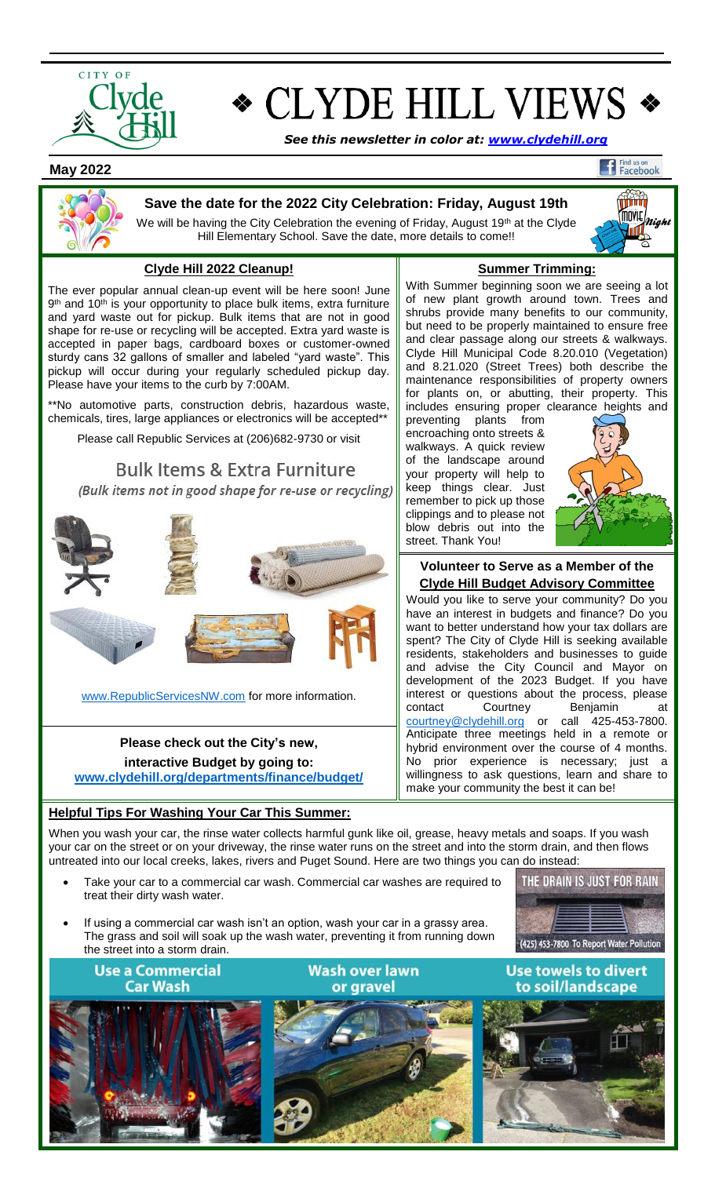

# **CLYDE HILL VIEWS \***

*See this newsletter in color at: [www.clydehill.org](http://www.clydehill.org/)*

 **May 2022**

## Find us on<br>Facebook



#### **Save the date for the 2022 City Celebration: Friday, August 19th**

We will be having the City Celebration the evening of Friday, August 19<sup>th</sup> at the Clyde Hill Elementary School. Save the date, more details to come!!

### **Clyde Hill 2022 Cleanup!**

The ever popular annual clean-up event will be here soon! June 9<sup>th</sup> and 10<sup>th</sup> is your opportunity to place bulk items, extra furniture and yard waste out for pickup. Bulk items that are not in good shape for re-use or recycling will be accepted. Extra yard waste is accepted in paper bags, cardboard boxes or customer-owned sturdy cans 32 gallons of smaller and labeled "yard waste". This pickup will occur during your regularly scheduled pickup day. Please have your items to the curb by 7:00AM.

\*\*No automotive parts, construction debris, hazardous waste, chemicals, tires, large appliances or electronics will be accepted\*\*

Please call Republic Services at (206)682-9730 or visit

**Bulk Items & Extra Furniture** (Bulk items not in good shape for re-use or recycling)



[www.RepublicServicesNW.com](http://www.republicservicesnw.com/) for more information.

**Please check out the City's new, interactive Budget by going to: [www.clydehill.org/departments/finance/budget/](http://www.clydehill.org/departments/finance/budget/)**

**Helpful Tips For Washing Your Car This Summer:**

When you wash your car, the rinse water collects harmful gunk like oil, grease, heavy metals and soaps. If you wash your car on the street or on your driveway, the rinse water runs on the street and into the storm drain, and then flows untreated into our local creeks, lakes, rivers and Puget Sound. Here are two things you can do instead:

- Take your car to a commercial car wash. Commercial car washes are required to treat their dirty wash water.
- If using a commercial car wash isn't an option, wash your car in a grassy area. The grass and soil will soak up the wash water, preventing it from running down the street into a storm drain.

THE DRAIN IS JUST FOR RAIN (425) 453-7800 To Report Water Pollution







**Summer Trimming:**

fiith **MOVIE**<br>MOVIE *night* 'nП

With Summer beginning soon we are seeing a lot of new plant growth around town. Trees and shrubs provide many benefits to our community, but need to be properly maintained to ensure free and clear passage along our streets & walkways. Clyde Hill Municipal Code 8.20.010 (Vegetation) and 8.21.020 (Street Trees) both describe the maintenance responsibilities of property owners for plants on, or abutting, their property. This includes ensuring proper clearance heights and

preventing plants from encroaching onto streets & walkways. A quick review of the landscape around your property will help to keep things clear. Just remember to pick up those clippings and to please not blow debris out into the street. Thank You!



#### **Volunteer to Serve as a Member of the Clyde Hill Budget Advisory Committee**

Would you like to serve your community? Do you have an interest in budgets and finance? Do you want to better understand how your tax dollars are spent? The City of Clyde Hill is seeking available residents, stakeholders and businesses to guide and advise the City Council and Mayor on development of the 2023 Budget. If you have interest or questions about the process, please contact Courtney Benjamin at [courtney@clydehill.org](mailto:courtney@clydehill.org) or call 425-453-7800. Anticipate three meetings held in a remote or hybrid environment over the course of 4 months. No prior experience is necessary; just a willingness to ask questions, learn and share to make your community the best it can be!